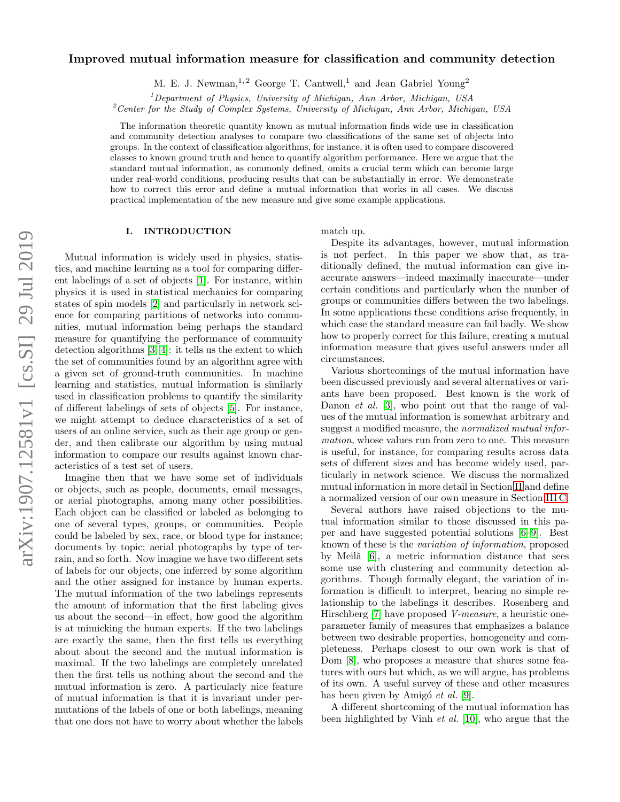# Improved mutual information measure for classification and community detection

M. E. J. Newman, <sup>1, 2</sup> George T. Cantwell,<sup>1</sup> and Jean Gabriel Young<sup>2</sup>

 $1$ Department of Physics, University of Michigan, Ann Arbor, Michigan, USA

<sup>2</sup>Center for the Study of Complex Systems, University of Michigan, Ann Arbor, Michigan, USA

The information theoretic quantity known as mutual information finds wide use in classification and community detection analyses to compare two classifications of the same set of objects into groups. In the context of classification algorithms, for instance, it is often used to compare discovered classes to known ground truth and hence to quantify algorithm performance. Here we argue that the standard mutual information, as commonly defined, omits a crucial term which can become large under real-world conditions, producing results that can be substantially in error. We demonstrate how to correct this error and define a mutual information that works in all cases. We discuss practical implementation of the new measure and give some example applications.

## I. INTRODUCTION

Mutual information is widely used in physics, statistics, and machine learning as a tool for comparing different labelings of a set of objects [\[1\]](#page-10-0). For instance, within physics it is used in statistical mechanics for comparing states of spin models [\[2\]](#page-10-1) and particularly in network science for comparing partitions of networks into communities, mutual information being perhaps the standard measure for quantifying the performance of community detection algorithms [\[3,](#page-10-2) [4\]](#page-10-3): it tells us the extent to which the set of communities found by an algorithm agree with a given set of ground-truth communities. In machine learning and statistics, mutual information is similarly used in classification problems to quantify the similarity of different labelings of sets of objects [\[5\]](#page-10-4). For instance, we might attempt to deduce characteristics of a set of users of an online service, such as their age group or gender, and then calibrate our algorithm by using mutual information to compare our results against known characteristics of a test set of users.

Imagine then that we have some set of individuals or objects, such as people, documents, email messages, or aerial photographs, among many other possibilities. Each object can be classified or labeled as belonging to one of several types, groups, or communities. People could be labeled by sex, race, or blood type for instance; documents by topic; aerial photographs by type of terrain, and so forth. Now imagine we have two different sets of labels for our objects, one inferred by some algorithm and the other assigned for instance by human experts. The mutual information of the two labelings represents the amount of information that the first labeling gives us about the second—in effect, how good the algorithm is at mimicking the human experts. If the two labelings are exactly the same, then the first tells us everything about about the second and the mutual information is maximal. If the two labelings are completely unrelated then the first tells us nothing about the second and the mutual information is zero. A particularly nice feature of mutual information is that it is invariant under permutations of the labels of one or both labelings, meaning that one does not have to worry about whether the labels

match up.

Despite its advantages, however, mutual information is not perfect. In this paper we show that, as traditionally defined, the mutual information can give inaccurate answers—indeed maximally inaccurate—under certain conditions and particularly when the number of groups or communities differs between the two labelings. In some applications these conditions arise frequently, in which case the standard measure can fail badly. We show how to properly correct for this failure, creating a mutual information measure that gives useful answers under all circumstances.

Various shortcomings of the mutual information have been discussed previously and several alternatives or variants have been proposed. Best known is the work of Danon *et al.* [\[3\]](#page-10-2), who point out that the range of values of the mutual information is somewhat arbitrary and suggest a modified measure, the normalized mutual information, whose values run from zero to one. This measure is useful, for instance, for comparing results across data sets of different sizes and has become widely used, particularly in network science. We discuss the normalized mutual information in more detail in Section [II](#page-1-0) and define a normalized version of our own measure in Section [III C.](#page-3-0)

Several authors have raised objections to the mutual information similar to those discussed in this paper and have suggested potential solutions [\[6–](#page-10-5)[9\]](#page-10-6). Best known of these is the variation of information, proposed by Meil $\ddot{a}$  [\[6\]](#page-10-5), a metric information distance that sees some use with clustering and community detection algorithms. Though formally elegant, the variation of information is difficult to interpret, bearing no simple relationship to the labelings it describes. Rosenberg and Hirschberg [\[7\]](#page-10-7) have proposed V-measure, a heuristic oneparameter family of measures that emphasizes a balance between two desirable properties, homogeneity and completeness. Perhaps closest to our own work is that of Dom [\[8\]](#page-10-8), who proposes a measure that shares some features with ours but which, as we will argue, has problems of its own. A useful survey of these and other measures has been given by Amigó  $et \ al.$  [\[9\]](#page-10-6).

A different shortcoming of the mutual information has been highlighted by Vinh et al. [\[10\]](#page-10-9), who argue that the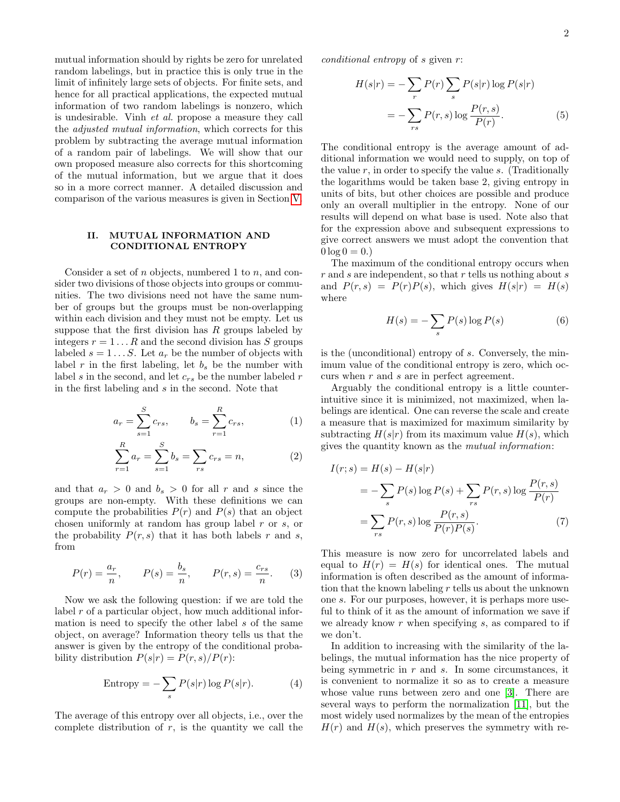mutual information should by rights be zero for unrelated random labelings, but in practice this is only true in the limit of infinitely large sets of objects. For finite sets, and hence for all practical applications, the expected mutual information of two random labelings is nonzero, which is undesirable. Vinh et al. propose a measure they call the adjusted mutual information, which corrects for this problem by subtracting the average mutual information of a random pair of labelings. We will show that our own proposed measure also corrects for this shortcoming of the mutual information, but we argue that it does so in a more correct manner. A detailed discussion and comparison of the various measures is given in Section [V.](#page-7-0)

### <span id="page-1-0"></span>II. MUTUAL INFORMATION AND CONDITIONAL ENTROPY

Consider a set of n objects, numbered 1 to n, and consider two divisions of those objects into groups or communities. The two divisions need not have the same number of groups but the groups must be non-overlapping within each division and they must not be empty. Let us suppose that the first division has  $R$  groups labeled by integers  $r = 1...R$  and the second division has S groups labeled  $s = 1...S$ . Let  $a_r$  be the number of objects with label  $r$  in the first labeling, let  $b_s$  be the number with label s in the second, and let  $c_{rs}$  be the number labeled r in the first labeling and s in the second. Note that

$$
a_r = \sum_{s=1}^{S} c_{rs}, \qquad b_s = \sum_{r=1}^{R} c_{rs}, \tag{1}
$$

$$
\sum_{r=1}^{R} a_r = \sum_{s=1}^{S} b_s = \sum_{rs} c_{rs} = n,
$$
 (2)

and that  $a_r > 0$  and  $b_s > 0$  for all r and s since the groups are non-empty. With these definitions we can compute the probabilities  $P(r)$  and  $P(s)$  that an object chosen uniformly at random has group label r or s, or the probability  $P(r, s)$  that it has both labels r and s, from

<span id="page-1-2"></span>
$$
P(r) = \frac{a_r}{n}
$$
,  $P(s) = \frac{b_s}{n}$ ,  $P(r, s) = \frac{c_{rs}}{n}$ . (3)

Now we ask the following question: if we are told the label r of a particular object, how much additional information is need to specify the other label s of the same object, on average? Information theory tells us that the answer is given by the entropy of the conditional probability distribution  $P(s|r) = P(r, s)/P(r)$ :

Entropy = 
$$
-\sum_{s} P(s|r) \log P(s|r)
$$
. (4)

The average of this entropy over all objects, i.e., over the complete distribution of  $r$ , is the quantity we call the conditional entropy of s given r:

<span id="page-1-5"></span>
$$
H(s|r) = -\sum_{r} P(r) \sum_{s} P(s|r) \log P(s|r)
$$

$$
= -\sum_{rs} P(r,s) \log \frac{P(r,s)}{P(r)}.
$$
(5)

The conditional entropy is the average amount of additional information we would need to supply, on top of the value  $r$ , in order to specify the value  $s$ . (Traditionally the logarithms would be taken base 2, giving entropy in units of bits, but other choices are possible and produce only an overall multiplier in the entropy. None of our results will depend on what base is used. Note also that for the expression above and subsequent expressions to give correct answers we must adopt the convention that  $0 \log 0 = 0.$ 

The maximum of the conditional entropy occurs when  $r$  and s are independent, so that  $r$  tells us nothing about  $s$ and  $P(r, s) = P(r)P(s)$ , which gives  $H(s|r) = H(s)$ where

<span id="page-1-3"></span>
$$
H(s) = -\sum_{s} P(s) \log P(s) \tag{6}
$$

is the (unconditional) entropy of s. Conversely, the minimum value of the conditional entropy is zero, which occurs when r and s are in perfect agreement.

<span id="page-1-1"></span>Arguably the conditional entropy is a little counterintuitive since it is minimized, not maximized, when labelings are identical. One can reverse the scale and create a measure that is maximized for maximum similarity by subtracting  $H(s|r)$  from its maximum value  $H(s)$ , which gives the quantity known as the mutual information:

<span id="page-1-4"></span>
$$
I(r;s) = H(s) - H(s|r)
$$
  
= 
$$
-\sum_{s} P(s) \log P(s) + \sum_{rs} P(r,s) \log \frac{P(r,s)}{P(r)}
$$
  
= 
$$
\sum_{rs} P(r,s) \log \frac{P(r,s)}{P(r)P(s)}.
$$
 (7)

This measure is now zero for uncorrelated labels and equal to  $H(r) = H(s)$  for identical ones. The mutual information is often described as the amount of information that the known labeling r tells us about the unknown one s. For our purposes, however, it is perhaps more useful to think of it as the amount of information we save if we already know  $r$  when specifying  $s$ , as compared to if we don't.

In addition to increasing with the similarity of the labelings, the mutual information has the nice property of being symmetric in  $r$  and  $s$ . In some circumstances, it is convenient to normalize it so as to create a measure whose value runs between zero and one [\[3\]](#page-10-2). There are several ways to perform the normalization [\[11\]](#page-10-10), but the most widely used normalizes by the mean of the entropies  $H(r)$  and  $H(s)$ , which preserves the symmetry with re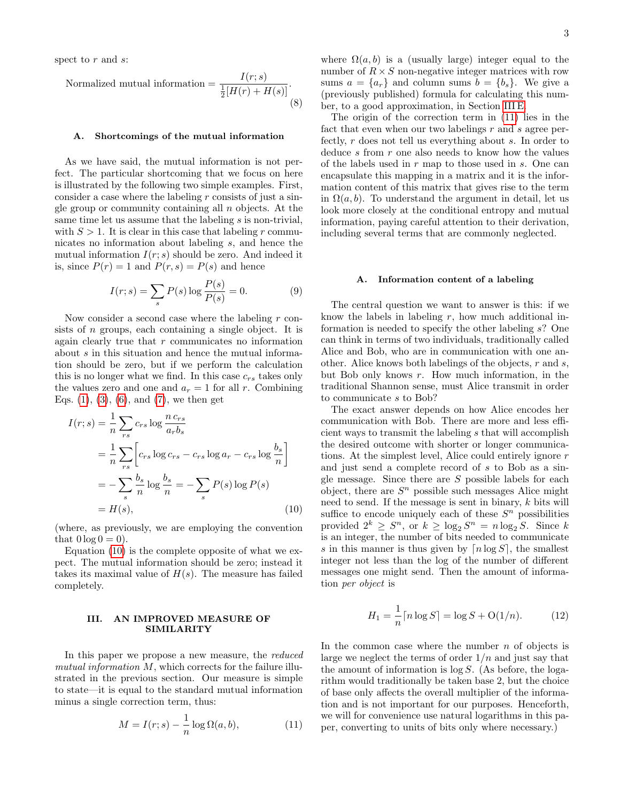spect to r and s:

<span id="page-2-5"></span>Normalized mutual information  $=$  $\frac{1}{2}[H(r) + H(s)]$ . (8)

#### <span id="page-2-3"></span>A. Shortcomings of the mutual information

As we have said, the mutual information is not perfect. The particular shortcoming that we focus on here is illustrated by the following two simple examples. First, consider a case where the labeling  $r$  consists of just a single group or community containing all  $n$  objects. At the same time let us assume that the labeling s is non-trivial, with  $S > 1$ . It is clear in this case that labeling r communicates no information about labeling s, and hence the mutual information  $I(r; s)$  should be zero. And indeed it is, since  $P(r) = 1$  and  $P(r, s) = P(s)$  and hence

<span id="page-2-6"></span>
$$
I(r;s) = \sum_{s} P(s) \log \frac{P(s)}{P(s)} = 0.
$$
 (9)

Now consider a second case where the labeling  $r$  consists of *n* groups, each containing a single object. It is again clearly true that r communicates no information about  $s$  in this situation and hence the mutual information should be zero, but if we perform the calculation this is no longer what we find. In this case  $c_{rs}$  takes only the values zero and one and  $a_r = 1$  for all r. Combining Eqs.  $(1), (3), (6),$  $(1), (3), (6),$  $(1), (3), (6),$  $(1), (3), (6),$  $(1), (3), (6),$  and  $(7),$  we then get

$$
I(r;s) = \frac{1}{n} \sum_{rs} c_{rs} \log \frac{n c_{rs}}{a_r b_s}
$$
  
= 
$$
\frac{1}{n} \sum_{rs} \left[ c_{rs} \log c_{rs} - c_{rs} \log a_r - c_{rs} \log \frac{b_s}{n} \right]
$$
  
= 
$$
-\sum_s \frac{b_s}{n} \log \frac{b_s}{n} = -\sum_s P(s) \log P(s)
$$
  
= 
$$
H(s), \qquad (10)
$$

(where, as previously, we are employing the convention that  $0 \log 0 = 0$ .

Equation [\(10\)](#page-2-0) is the complete opposite of what we expect. The mutual information should be zero; instead it takes its maximal value of  $H(s)$ . The measure has failed completely.

## <span id="page-2-4"></span>III. AN IMPROVED MEASURE OF SIMILARITY

In this paper we propose a new measure, the *reduced* mutual information  $M$ , which corrects for the failure illustrated in the previous section. Our measure is simple to state—it is equal to the standard mutual information minus a single correction term, thus:

<span id="page-2-1"></span>
$$
M = I(r; s) - \frac{1}{n} \log \Omega(a, b), \tag{11}
$$

where  $\Omega(a, b)$  is a (usually large) integer equal to the number of  $R \times S$  non-negative integer matrices with row sums  $a = \{a_r\}$  and column sums  $b = \{b_s\}$ . We give a (previously published) formula for calculating this number, to a good approximation, in Section [III E.](#page-6-0)

The origin of the correction term in [\(11\)](#page-2-1) lies in the fact that even when our two labelings  $r$  and  $s$  agree perfectly, r does not tell us everything about s. In order to deduce s from r one also needs to know how the values of the labels used in  $r$  map to those used in  $s$ . One can encapsulate this mapping in a matrix and it is the information content of this matrix that gives rise to the term in  $\Omega(a, b)$ . To understand the argument in detail, let us look more closely at the conditional entropy and mutual information, paying careful attention to their derivation, including several terms that are commonly neglected.

### A. Information content of a labeling

The central question we want to answer is this: if we know the labels in labeling  $r$ , how much additional information is needed to specify the other labeling s? One can think in terms of two individuals, traditionally called Alice and Bob, who are in communication with one another. Alice knows both labelings of the objects,  $r$  and  $s$ , but Bob only knows r. How much information, in the traditional Shannon sense, must Alice transmit in order to communicate s to Bob?

<span id="page-2-0"></span>The exact answer depends on how Alice encodes her communication with Bob. There are more and less efficient ways to transmit the labeling s that will accomplish the desired outcome with shorter or longer communications. At the simplest level, Alice could entirely ignore r and just send a complete record of s to Bob as a single message. Since there are  $S$  possible labels for each object, there are  $S<sup>n</sup>$  possible such messages Alice might need to send. If the message is sent in binary, k bits will suffice to encode uniquely each of these  $S<sup>n</sup>$  possibilities provided  $2^k \geq S^n$ , or  $k \geq \log_2 S^n = n \log_2 S$ . Since k is an integer, the number of bits needed to communicate s in this manner is thus given by  $\lceil n \log S \rceil$ , the smallest integer not less than the log of the number of different messages one might send. Then the amount of information per object is

<span id="page-2-2"></span>
$$
H_1 = \frac{1}{n} \lceil n \log S \rceil = \log S + \mathcal{O}(1/n). \tag{12}
$$

In the common case where the number  $n$  of objects is large we neglect the terms of order  $1/n$  and just say that the amount of information is  $\log S$ . (As before, the logarithm would traditionally be taken base 2, but the choice of base only affects the overall multiplier of the information and is not important for our purposes. Henceforth, we will for convenience use natural logarithms in this paper, converting to units of bits only where necessary.)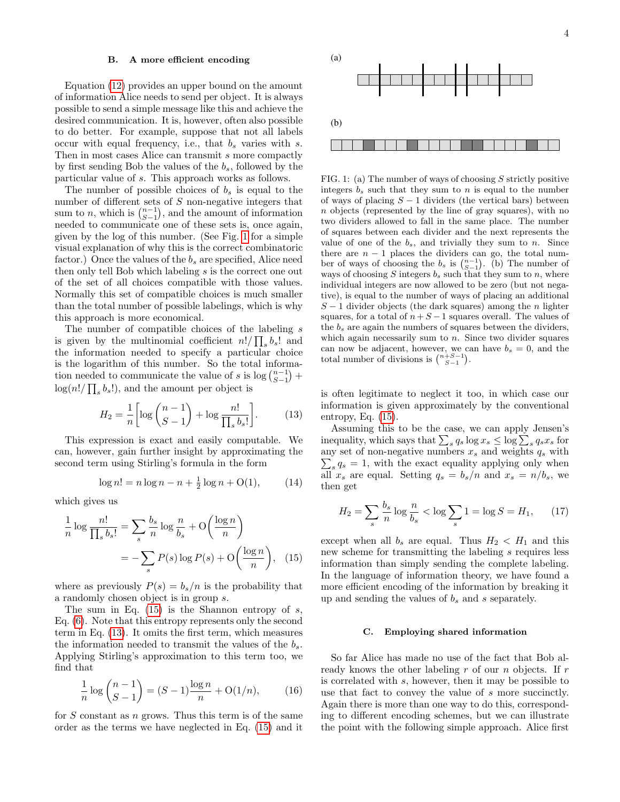#### <span id="page-3-5"></span>B. A more efficient encoding

Equation [\(12\)](#page-2-2) provides an upper bound on the amount of information Alice needs to send per object. It is always possible to send a simple message like this and achieve the desired communication. It is, however, often also possible to do better. For example, suppose that not all labels occur with equal frequency, i.e., that  $b_s$  varies with s. Then in most cases Alice can transmit s more compactly by first sending Bob the values of the  $b_s$ , followed by the particular value of s. This approach works as follows.

The number of possible choices of  $b_s$  is equal to the number of different sets of S non-negative integers that sum to *n*, which is  $\binom{n-1}{S-1}$ , and the amount of information needed to communicate one of these sets is, once again, given by the log of this number. (See Fig. [1](#page-3-1) for a simple visual explanation of why this is the correct combinatoric factor.) Once the values of the  $b_s$  are specified, Alice need then only tell Bob which labeling s is the correct one out of the set of all choices compatible with those values. Normally this set of compatible choices is much smaller than the total number of possible labelings, which is why this approach is more economical.

The number of compatible choices of the labeling s is given by the multinomial coefficient  $n!/\prod_s b_s!$  and the information needed to specify a particular choice is the logarithm of this number. So the total information needed to communicate the value of s is log  $\binom{n-1}{S-1}$  +  $\log(n!/\prod_s b_s!)$ , and the amount per object is

<span id="page-3-3"></span>
$$
H_2 = \frac{1}{n} \left[ \log \binom{n-1}{S-1} + \log \frac{n!}{\prod_s b_s!} \right].
$$
 (13)

This expression is exact and easily computable. We can, however, gain further insight by approximating the second term using Stirling's formula in the form

<span id="page-3-4"></span>
$$
\log n! = n \log n - n + \frac{1}{2} \log n + O(1), \tag{14}
$$

which gives us

$$
\frac{1}{n}\log\frac{n!}{\prod_s b_s!} = \sum_s \frac{b_s}{n}\log\frac{n}{b_s} + O\left(\frac{\log n}{n}\right)
$$

$$
= -\sum_s P(s)\log P(s) + O\left(\frac{\log n}{n}\right), \quad (15)
$$

where as previously  $P(s) = b_s/n$  is the probability that a randomly chosen object is in group s.

The sum in Eq.  $(15)$  is the Shannon entropy of s, Eq. [\(6\)](#page-1-3). Note that this entropy represents only the second term in Eq. [\(13\)](#page-3-3). It omits the first term, which measures the information needed to transmit the values of the  $b_s$ . Applying Stirling's approximation to this term too, we find that

<span id="page-3-6"></span>
$$
\frac{1}{n}\log\binom{n-1}{S-1} = (S-1)\frac{\log n}{n} + \mathcal{O}(1/n),\tag{16}
$$

for  $S$  constant as  $n$  grows. Thus this term is of the same order as the terms we have neglected in Eq. [\(15\)](#page-3-2) and it



<span id="page-3-1"></span>FIG. 1: (a) The number of ways of choosing  $S$  strictly positive integers  $b_s$  such that they sum to n is equal to the number of ways of placing  $S - 1$  dividers (the vertical bars) between n objects (represented by the line of gray squares), with no two dividers allowed to fall in the same place. The number of squares between each divider and the next represents the value of one of the  $b_s$ , and trivially they sum to n. Since there are  $n - 1$  places the dividers can go, the total number of ways of choosing the  $b_s$  is  $\binom{n-1}{S-1}$ . (b) The number of ways of choosing S integers  $b_s$  such that they sum to n, where individual integers are now allowed to be zero (but not negative), is equal to the number of ways of placing an additional  $S-1$  divider objects (the dark squares) among the *n* lighter squares, for a total of  $n+S-1$  squares overall. The values of the  $b_s$  are again the numbers of squares between the dividers, which again necessarily sum to  $n$ . Since two divider squares can now be adjacent, however, we can have  $b_s = 0$ , and the total number of divisions is  $\binom{n+S-1}{S-1}$ .

is often legitimate to neglect it too, in which case our information is given approximately by the conventional entropy, Eq. [\(15\)](#page-3-2).

Assuming this to be the case, we can apply Jensen's inequality, which says that  $\sum_s q_s \log x_s \leq \log \sum_s q_s x_s$  for any set of non-negative numbers  $x_s$  and weights  $q_s$  with  $\sum_s q_s = 1$ , with the exact equality applying only when all  $x_s$  are equal. Setting  $q_s = b_s/n$  and  $x_s = n/b_s$ , we then get

$$
H_2 = \sum_{s} \frac{b_s}{n} \log \frac{n}{b_s} < \log \sum_{s} 1 = \log S = H_1,\qquad(17)
$$

<span id="page-3-2"></span>except when all  $b_s$  are equal. Thus  $H_2 < H_1$  and this new scheme for transmitting the labeling s requires less information than simply sending the complete labeling. In the language of information theory, we have found a more efficient encoding of the information by breaking it up and sending the values of  $b_s$  and s separately.

### <span id="page-3-0"></span>C. Employing shared information

So far Alice has made no use of the fact that Bob already knows the other labeling  $r$  of our  $n$  objects. If  $r$ is correlated with s, however, then it may be possible to use that fact to convey the value of s more succinctly. Again there is more than one way to do this, corresponding to different encoding schemes, but we can illustrate the point with the following simple approach. Alice first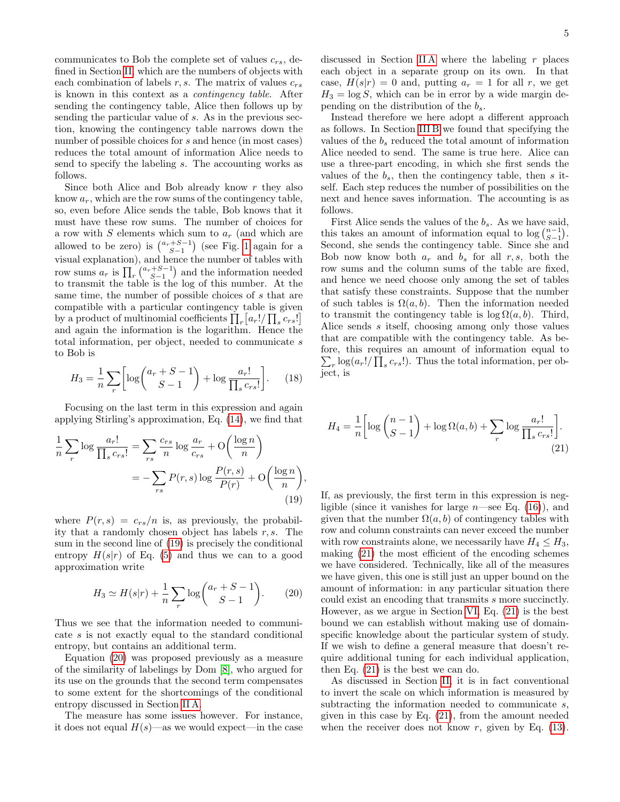communicates to Bob the complete set of values  $c_{rs}$ , defined in Section [II,](#page-1-0) which are the numbers of objects with each combination of labels  $r, s$ . The matrix of values  $c_{rs}$ is known in this context as a contingency table. After sending the contingency table, Alice then follows up by sending the particular value of s. As in the previous section, knowing the contingency table narrows down the number of possible choices for s and hence (in most cases) reduces the total amount of information Alice needs to send to specify the labeling s. The accounting works as follows.

Since both Alice and Bob already know  $r$  they also know  $a_r$ , which are the row sums of the contingency table, so, even before Alice sends the table, Bob knows that it must have these row sums. The number of choices for a row with  $S$  elements which sum to  $a_r$  (and which are allowed to be zero) is  $\binom{a_r+S-1}{S-1}$  (see Fig. [1](#page-3-1) again for a visual explanation), and hence the number of tables with row sums  $a_r$  is  $\prod_r \binom{a_r+S-1}{S-1}$  and the information needed to transmit the table is the log of this number. At the same time, the number of possible choices of s that are compatible with a particular contingency table is given by a product of multinomial coefficients  $\prod_r [a_r!/\prod_s c_{rs}!]$ and again the information is the logarithm. Hence the total information, per object, needed to communicate s to Bob is

<span id="page-4-3"></span>
$$
H_3 = \frac{1}{n} \sum_{r} \left[ \log \binom{a_r + S - 1}{S - 1} + \log \frac{a_r!}{\prod_s c_{rs}!} \right].
$$
 (18)

Focusing on the last term in this expression and again applying Stirling's approximation, Eq. [\(14\)](#page-3-4), we find that

$$
\frac{1}{n}\sum_{r}\log\frac{a_r!}{\prod_s c_{rs}!} = \sum_{rs}\frac{c_{rs}}{n}\log\frac{a_r}{c_{rs}} + O\left(\frac{\log n}{n}\right)
$$

$$
= -\sum_{rs}P(r,s)\log\frac{P(r,s)}{P(r)} + O\left(\frac{\log n}{n}\right),\tag{19}
$$

where  $P(r, s) = c_{rs}/n$  is, as previously, the probability that a randomly chosen object has labels  $r, s$ . The sum in the second line of [\(19\)](#page-4-0) is precisely the conditional entropy  $H(s|r)$  of Eq. [\(5\)](#page-1-5) and thus we can to a good approximation write

<span id="page-4-1"></span>
$$
H_3 \simeq H(s|r) + \frac{1}{n} \sum_{r} \log \binom{a_r + S - 1}{S - 1}.
$$
 (20)

Thus we see that the information needed to communicate s is not exactly equal to the standard conditional entropy, but contains an additional term.

Equation [\(20\)](#page-4-1) was proposed previously as a measure of the similarity of labelings by Dom [\[8\]](#page-10-8), who argued for its use on the grounds that the second term compensates to some extent for the shortcomings of the conditional entropy discussed in Section [II A.](#page-2-3)

The measure has some issues however. For instance, it does not equal  $H(s)$ —as we would expect—in the case discussed in Section IIA where the labeling  $r$  places each object in a separate group on its own. In that case,  $H(s|r) = 0$  and, putting  $a_r = 1$  for all r, we get  $H_3 = \log S$ , which can be in error by a wide margin depending on the distribution of the  $b_s$ .

Instead therefore we here adopt a different approach as follows. In Section [III B](#page-3-5) we found that specifying the values of the  $b_s$  reduced the total amount of information Alice needed to send. The same is true here. Alice can use a three-part encoding, in which she first sends the values of the  $b_s$ , then the contingency table, then s itself. Each step reduces the number of possibilities on the next and hence saves information. The accounting is as follows.

First Alice sends the values of the  $b_s$ . As we have said, this takes an amount of information equal to  $\log {n-1 \choose S-1}$ . Second, she sends the contingency table. Since she and Bob now know both  $a_r$  and  $b_s$  for all  $r, s$ , both the row sums and the column sums of the table are fixed, and hence we need choose only among the set of tables that satisfy these constraints. Suppose that the number of such tables is  $\Omega(a, b)$ . Then the information needed to transmit the contingency table is  $log \Omega(a, b)$ . Third, Alice sends s itself, choosing among only those values that are compatible with the contingency table. As before, this requires an amount of information equal to  $\sum_{r} \log(a_r!/\prod_s c_{rs}!)$ . Thus the total information, per object, is

<span id="page-4-2"></span>
$$
H_4 = \frac{1}{n} \left[ \log \binom{n-1}{S-1} + \log \Omega(a, b) + \sum_r \log \frac{a_r!}{\prod_s c_{rs}!} \right].
$$
\n(21)

<span id="page-4-0"></span>If, as previously, the first term in this expression is negligible (since it vanishes for large  $n$ —see Eq. [\(16\)](#page-3-6)), and given that the number  $\Omega(a, b)$  of contingency tables with row and column constraints can never exceed the number with row constraints alone, we necessarily have  $H_4 \leq H_3$ , making [\(21\)](#page-4-2) the most efficient of the encoding schemes we have considered. Technically, like all of the measures we have given, this one is still just an upper bound on the amount of information: in any particular situation there could exist an encoding that transmits s more succinctly. However, as we argue in Section [VI,](#page-9-0) Eq. [\(21\)](#page-4-2) is the best bound we can establish without making use of domainspecific knowledge about the particular system of study. If we wish to define a general measure that doesn't require additional tuning for each individual application, then Eq. [\(21\)](#page-4-2) is the best we can do.

As discussed in Section [II,](#page-1-0) it is in fact conventional to invert the scale on which information is measured by subtracting the information needed to communicate s, given in this case by Eq. [\(21\)](#page-4-2), from the amount needed when the receiver does not know  $r$ , given by Eq. [\(13\)](#page-3-3).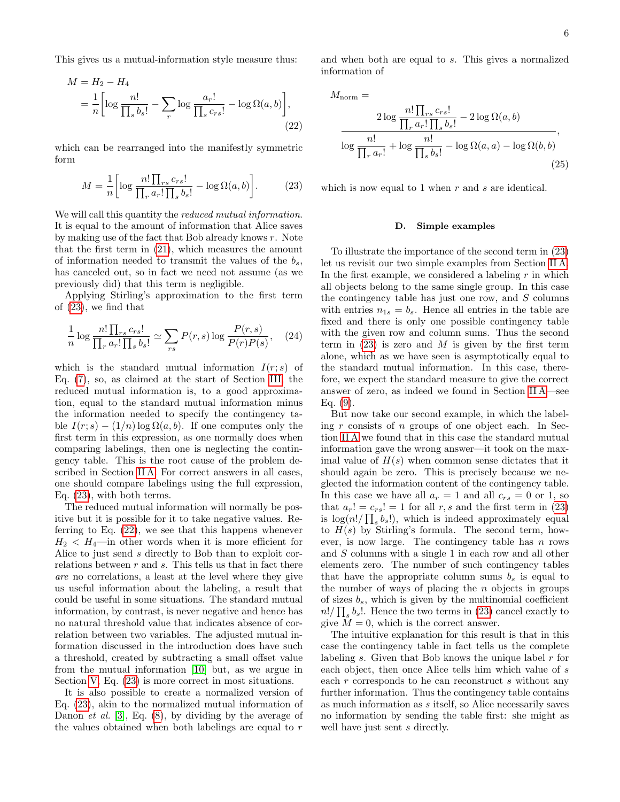This gives us a mutual-information style measure thus:

$$
M = H_2 - H_4
$$
  
=  $\frac{1}{n} \left[ \log \frac{n!}{\prod_s b_s!} - \sum_r \log \frac{a_r!}{\prod_s c_{rs}!} - \log \Omega(a, b) \right],$  (22)

which can be rearranged into the manifestly symmetric form

<span id="page-5-0"></span>
$$
M = \frac{1}{n} \left[ \log \frac{n! \prod_{rs} c_{rs}!}{\prod_{r} a_r! \prod_{s} b_s!} - \log \Omega(a, b) \right].
$$
 (23)

We will call this quantity the *reduced mutual information*. It is equal to the amount of information that Alice saves by making use of the fact that Bob already knows r. Note that the first term in [\(21\)](#page-4-2), which measures the amount of information needed to transmit the values of the  $b_s$ , has canceled out, so in fact we need not assume (as we previously did) that this term is negligible.

Applying Stirling's approximation to the first term of [\(23\)](#page-5-0), we find that

<span id="page-5-2"></span>
$$
\frac{1}{n}\log\frac{n!\prod_{rs}c_{rs}!}{\prod_{r}a_r!\prod_{s}b_s!} \simeq \sum_{rs}P(r,s)\log\frac{P(r,s)}{P(r)P(s)},\quad(24)
$$

which is the standard mutual information  $I(r; s)$  of Eq. [\(7\)](#page-1-4), so, as claimed at the start of Section [III,](#page-2-4) the reduced mutual information is, to a good approximation, equal to the standard mutual information minus the information needed to specify the contingency table  $I(r; s) - (1/n) \log \Omega(a, b)$ . If one computes only the first term in this expression, as one normally does when comparing labelings, then one is neglecting the contingency table. This is the root cause of the problem described in Section [II A.](#page-2-3) For correct answers in all cases, one should compare labelings using the full expression, Eq. [\(23\)](#page-5-0), with both terms.

The reduced mutual information will normally be positive but it is possible for it to take negative values. Referring to Eq. [\(22\)](#page-5-1), we see that this happens whenever  $H_2 < H_4$ —in other words when it is more efficient for Alice to just send s directly to Bob than to exploit correlations between  $r$  and  $s$ . This tells us that in fact there are no correlations, a least at the level where they give us useful information about the labeling, a result that could be useful in some situations. The standard mutual information, by contrast, is never negative and hence has no natural threshold value that indicates absence of correlation between two variables. The adjusted mutual information discussed in the introduction does have such a threshold, created by subtracting a small offset value from the mutual information [\[10\]](#page-10-9) but, as we argue in Section [V,](#page-7-0) Eq.  $(23)$  is more correct in most situations.

It is also possible to create a normalized version of Eq. [\(23\)](#page-5-0), akin to the normalized mutual information of Danon *et al.* [\[3\]](#page-10-2), Eq. [\(8\)](#page-2-5), by dividing by the average of the values obtained when both labelings are equal to r

and when both are equal to s. This gives a normalized information of

<span id="page-5-1"></span>
$$
M_{\text{norm}} =
$$
  
\n
$$
2 \log \frac{n! \prod_{rs} c_{rs}!}{\prod_{r} a_{r}! \prod_{s} b_{s}!} - 2 \log \Omega(a, b)
$$
  
\n
$$
\log \frac{n!}{\prod_{r} a_{r}!} + \log \frac{n!}{\prod_{s} b_{s}!} - \log \Omega(a, a) - \log \Omega(b, b)
$$
\n(25)

which is now equal to 1 when  $r$  and  $s$  are identical.

#### D. Simple examples

To illustrate the importance of the second term in [\(23\)](#page-5-0) let us revisit our two simple examples from Section [II A.](#page-2-3) In the first example, we considered a labeling  $r$  in which all objects belong to the same single group. In this case the contingency table has just one row, and  $S$  columns with entries  $n_{1s} = b_s$ . Hence all entries in the table are fixed and there is only one possible contingency table with the given row and column sums. Thus the second term in  $(23)$  is zero and M is given by the first term alone, which as we have seen is asymptotically equal to the standard mutual information. In this case, therefore, we expect the standard measure to give the correct answer of zero, as indeed we found in Section [II A—](#page-2-3)see Eq. [\(9\)](#page-2-6).

But now take our second example, in which the labeling  $r$  consists of  $n$  groups of one object each. In Section [II A](#page-2-3) we found that in this case the standard mutual information gave the wrong answer—it took on the maximal value of  $H(s)$  when common sense dictates that it should again be zero. This is precisely because we neglected the information content of the contingency table. In this case we have all  $a_r = 1$  and all  $c_{rs} = 0$  or 1, so that  $a_r! = c_{rs}! = 1$  for all r, s and the first term in [\(23\)](#page-5-0) is  $\log(n!/\prod_s b_s!)$ , which is indeed approximately equal to  $H(s)$  by Stirling's formula. The second term, however, is now large. The contingency table has  $n$  rows and S columns with a single 1 in each row and all other elements zero. The number of such contingency tables that have the appropriate column sums  $b_s$  is equal to the number of ways of placing the  $n$  objects in groups of sizes  $b_s$ , which is given by the multinomial coefficient  $n!/\prod_s b_s!$ . Hence the two terms in [\(23\)](#page-5-0) cancel exactly to give  $\overline{M} = 0$ , which is the correct answer.

The intuitive explanation for this result is that in this case the contingency table in fact tells us the complete labeling  $s$ . Given that Bob knows the unique label  $r$  for each object, then once Alice tells him which value of s each r corresponds to he can reconstruct s without any further information. Thus the contingency table contains as much information as s itself, so Alice necessarily saves no information by sending the table first: she might as well have just sent s directly.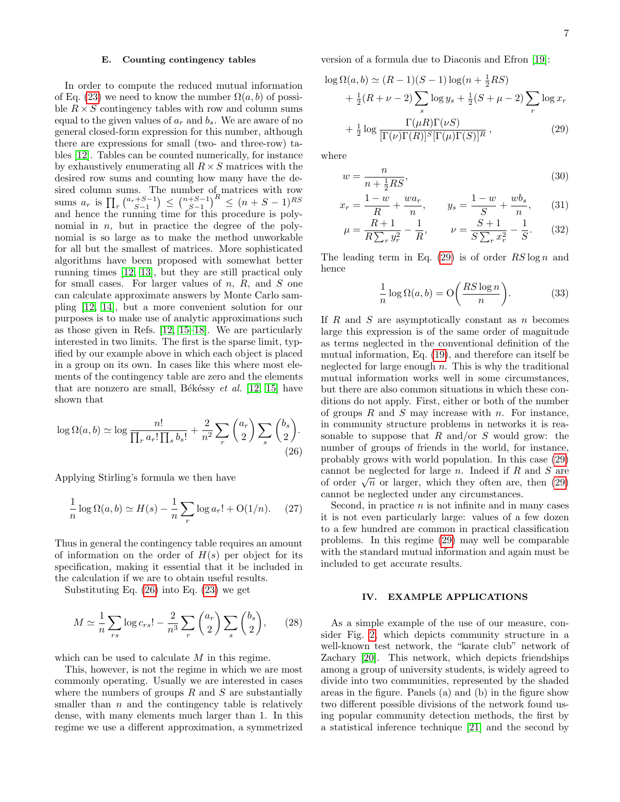### <span id="page-6-0"></span>E. Counting contingency tables

In order to compute the reduced mutual information of Eq. [\(23\)](#page-5-0) we need to know the number  $\Omega(a, b)$  of possible  $R \times S$  contingency tables with row and column sums equal to the given values of  $a_r$  and  $b_s$ . We are aware of no general closed-form expression for this number, although there are expressions for small (two- and three-row) tables [\[12\]](#page-10-11). Tables can be counted numerically, for instance by exhaustively enumerating all  $R \times S$  matrices with the desired row sums and counting how many have the desired column sums. The number of matrices with row sums  $a_r$  is  $\prod_r {\binom{a_r+S-1}{S-1}} \le {\binom{n+S-1}{S-1}}^R \le (n+S-1)^{RS}$ and hence the running time for this procedure is polynomial in  $n$ , but in practice the degree of the polynomial is so large as to make the method unworkable for all but the smallest of matrices. More sophisticated algorithms have been proposed with somewhat better running times [\[12,](#page-10-11) [13\]](#page-10-12), but they are still practical only for small cases. For larger values of  $n$ ,  $R$ , and  $S$  one can calculate approximate answers by Monte Carlo sampling [\[12,](#page-10-11) [14\]](#page-10-13), but a more convenient solution for our purposes is to make use of analytic approximations such as those given in Refs. [\[12,](#page-10-11) [15–](#page-10-14)[18\]](#page-10-15). We are particularly interested in two limits. The first is the sparse limit, typified by our example above in which each object is placed in a group on its own. In cases like this where most elements of the contingency table are zero and the elements that are nonzero are small, Békéssy et al.  $[12, 15]$  $[12, 15]$  have shown that

$$
\log \Omega(a, b) \simeq \log \frac{n!}{\prod_r a_r! \prod_s b_s!} + \frac{2}{n^2} \sum_r \binom{a_r}{2} \sum_s \binom{b_s}{2}.
$$
\n(26)

Applying Stirling's formula we then have

$$
\frac{1}{n}\log\Omega(a,b) \simeq H(s) - \frac{1}{n}\sum_{r}\log a_r! + O(1/n). \tag{27}
$$

Thus in general the contingency table requires an amount of information on the order of  $H(s)$  per object for its specification, making it essential that it be included in the calculation if we are to obtain useful results.

Substituting Eq. [\(26\)](#page-6-1) into Eq. [\(23\)](#page-5-0) we get

$$
M \simeq \frac{1}{n} \sum_{rs} \log c_{rs}! - \frac{2}{n^3} \sum_{r} {a_r \choose 2} \sum_{s} {b_s \choose 2}, \qquad (28)
$$

which can be used to calculate M in this regime.

This, however, is not the regime in which we are most commonly operating. Usually we are interested in cases where the numbers of groups  $R$  and  $S$  are substantially smaller than  $n$  and the contingency table is relatively dense, with many elements much larger than 1. In this regime we use a different approximation, a symmetrized version of a formula due to Diaconis and Efron [\[19\]](#page-10-16):

$$
\log \Omega(a, b) \simeq (R - 1)(S - 1)\log(n + \frac{1}{2}RS)
$$
  
+ 
$$
\frac{1}{2}(R + \nu - 2) \sum_{s} \log y_s + \frac{1}{2}(S + \mu - 2) \sum_{r} \log x_r
$$
  
+ 
$$
\frac{1}{2} \log \frac{\Gamma(\mu R)\Gamma(\nu S)}{[\Gamma(\nu)\Gamma(R)]^{S}[\Gamma(\mu)\Gamma(S)]^{R}},
$$
(29)

where

<span id="page-6-2"></span>
$$
w = \frac{n}{n + \frac{1}{2}RS},\tag{30}
$$

$$
x_r = \frac{1-w}{R} + \frac{wa_r}{n}, \qquad y_s = \frac{1-w}{S} + \frac{wb_s}{n}, \qquad (31)
$$

$$
\mu = \frac{R+1}{R\sum_{r} y_r^2} - \frac{1}{R}, \qquad \nu = \frac{S+1}{S\sum_{r} x_r^2} - \frac{1}{S}.
$$
 (32)

The leading term in Eq. [\(29\)](#page-6-2) is of order  $RS \log n$  and hence

$$
\frac{1}{n}\log\Omega(a,b) = \mathcal{O}\left(\frac{RS\log n}{n}\right). \tag{33}
$$

If R and S are asymptotically constant as n becomes large this expression is of the same order of magnitude as terms neglected in the conventional definition of the mutual information, Eq. [\(19\)](#page-4-0), and therefore can itself be neglected for large enough  $n$ . This is why the traditional mutual information works well in some circumstances, but there are also common situations in which these conditions do not apply. First, either or both of the number of groups  $R$  and  $S$  may increase with  $n$ . For instance, in community structure problems in networks it is reasonable to suppose that R and/or S would grow: the number of groups of friends in the world, for instance, probably grows with world population. In this case [\(29\)](#page-6-2) cannot be neglected for large  $n$ . Indeed if  $R$  and  $S$  are cannot be neglected for large *n*. Indeed if *n* and *5* are<br>of order  $\sqrt{n}$  or larger, which they often are, then [\(29\)](#page-6-2) cannot be neglected under any circumstances.

<span id="page-6-1"></span>Second, in practice  $n$  is not infinite and in many cases it is not even particularly large: values of a few dozen to a few hundred are common in practical classification problems. In this regime [\(29\)](#page-6-2) may well be comparable with the standard mutual information and again must be included to get accurate results.

## IV. EXAMPLE APPLICATIONS

As a simple example of the use of our measure, consider Fig. [2,](#page-7-1) which depicts community structure in a well-known test network, the "karate club" network of Zachary [\[20\]](#page-10-17). This network, which depicts friendships among a group of university students, is widely agreed to divide into two communities, represented by the shaded areas in the figure. Panels (a) and (b) in the figure show two different possible divisions of the network found using popular community detection methods, the first by a statistical inference technique [\[21\]](#page-10-18) and the second by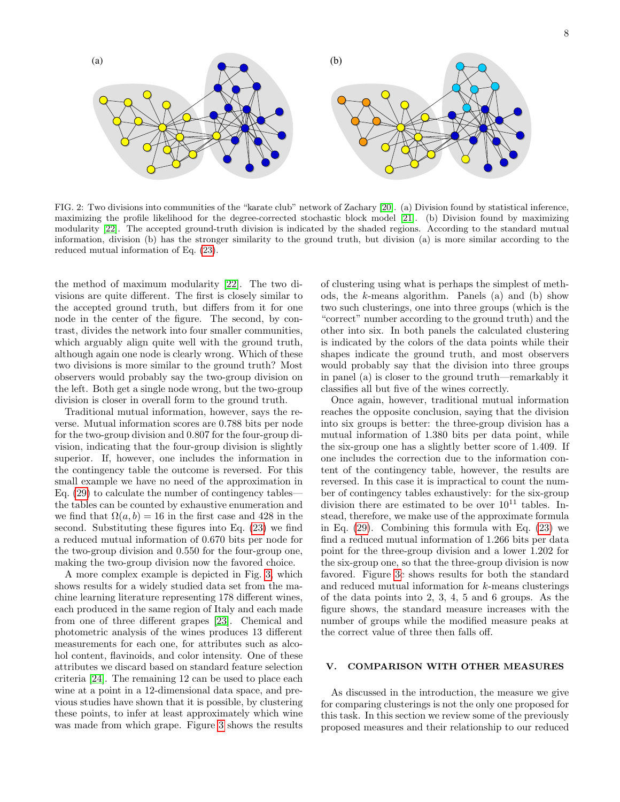

<span id="page-7-1"></span>FIG. 2: Two divisions into communities of the "karate club" network of Zachary [\[20\]](#page-10-17). (a) Division found by statistical inference, maximizing the profile likelihood for the degree-corrected stochastic block model [\[21\]](#page-10-18). (b) Division found by maximizing modularity [\[22\]](#page-11-0). The accepted ground-truth division is indicated by the shaded regions. According to the standard mutual information, division (b) has the stronger similarity to the ground truth, but division (a) is more similar according to the reduced mutual information of Eq. [\(23\)](#page-5-0).

the method of maximum modularity [\[22\]](#page-11-0). The two divisions are quite different. The first is closely similar to the accepted ground truth, but differs from it for one node in the center of the figure. The second, by contrast, divides the network into four smaller communities, which arguably align quite well with the ground truth, although again one node is clearly wrong. Which of these two divisions is more similar to the ground truth? Most observers would probably say the two-group division on the left. Both get a single node wrong, but the two-group division is closer in overall form to the ground truth.

Traditional mutual information, however, says the reverse. Mutual information scores are 0.788 bits per node for the two-group division and 0.807 for the four-group division, indicating that the four-group division is slightly superior. If, however, one includes the information in the contingency table the outcome is reversed. For this small example we have no need of the approximation in Eq. [\(29\)](#page-6-2) to calculate the number of contingency tables the tables can be counted by exhaustive enumeration and we find that  $\Omega(a, b) = 16$  in the first case and 428 in the second. Substituting these figures into Eq. [\(23\)](#page-5-0) we find a reduced mutual information of 0.670 bits per node for the two-group division and 0.550 for the four-group one, making the two-group division now the favored choice.

A more complex example is depicted in Fig. [3,](#page-8-0) which shows results for a widely studied data set from the machine learning literature representing 178 different wines, each produced in the same region of Italy and each made from one of three different grapes [\[23\]](#page-11-1). Chemical and photometric analysis of the wines produces 13 different measurements for each one, for attributes such as alcohol content, flavinoids, and color intensity. One of these attributes we discard based on standard feature selection criteria [\[24\]](#page-11-2). The remaining 12 can be used to place each wine at a point in a 12-dimensional data space, and previous studies have shown that it is possible, by clustering these points, to infer at least approximately which wine was made from which grape. Figure [3](#page-8-0) shows the results of clustering using what is perhaps the simplest of methods, the k-means algorithm. Panels (a) and (b) show two such clusterings, one into three groups (which is the "correct" number according to the ground truth) and the other into six. In both panels the calculated clustering is indicated by the colors of the data points while their shapes indicate the ground truth, and most observers would probably say that the division into three groups in panel (a) is closer to the ground truth—remarkably it classifies all but five of the wines correctly.

Once again, however, traditional mutual information reaches the opposite conclusion, saying that the division into six groups is better: the three-group division has a mutual information of 1.380 bits per data point, while the six-group one has a slightly better score of 1.409. If one includes the correction due to the information content of the contingency table, however, the results are reversed. In this case it is impractical to count the number of contingency tables exhaustively: for the six-group division there are estimated to be over  $10^{11}$  tables. Instead, therefore, we make use of the approximate formula in Eq. [\(29\)](#page-6-2). Combining this formula with Eq. [\(23\)](#page-5-0) we find a reduced mutual information of 1.266 bits per data point for the three-group division and a lower 1.202 for the six-group one, so that the three-group division is now favored. Figure [3c](#page-8-0) shows results for both the standard and reduced mutual information for k-means clusterings of the data points into 2, 3, 4, 5 and 6 groups. As the figure shows, the standard measure increases with the number of groups while the modified measure peaks at the correct value of three then falls off.

## <span id="page-7-0"></span>V. COMPARISON WITH OTHER MEASURES

As discussed in the introduction, the measure we give for comparing clusterings is not the only one proposed for this task. In this section we review some of the previously proposed measures and their relationship to our reduced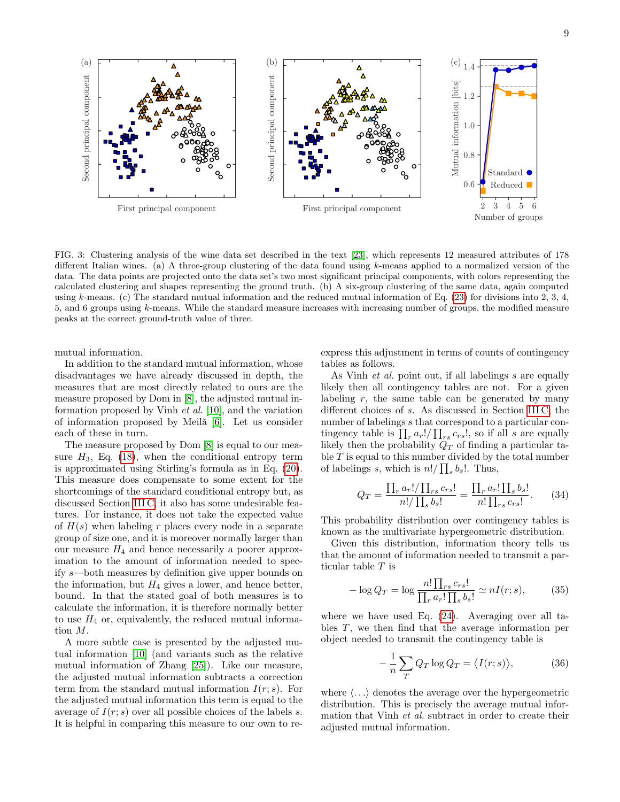

<span id="page-8-0"></span>FIG. 3: Clustering analysis of the wine data set described in the text [\[23\]](#page-11-1), which represents 12 measured attributes of 178 different Italian wines. (a) A three-group clustering of the data found using  $k$ -means applied to a normalized version of the data. The data points are projected onto the data set's two most significant principal components, with colors representing the calculated clustering and shapes representing the ground truth. (b) A six-group clustering of the same data, again computed using k-means. (c) The standard mutual information and the reduced mutual information of Eq.  $(23)$  for divisions into 2, 3, 4, 5, and 6 groups using k-means. While the standard measure increases with increasing number of groups, the modified measure peaks at the correct ground-truth value of three.

mutual information.

In addition to the standard mutual information, whose disadvantages we have already discussed in depth, the measures that are most directly related to ours are the measure proposed by Dom in [\[8\]](#page-10-8), the adjusted mutual information proposed by Vinh et al. [\[10\]](#page-10-9), and the variation of information proposed by Meila<sup>[6]</sup>. Let us consider each of these in turn.

The measure proposed by Dom [\[8\]](#page-10-8) is equal to our measure  $H_3$ , Eq. [\(18\)](#page-4-3), when the conditional entropy term is approximated using Stirling's formula as in Eq. [\(20\)](#page-4-1). This measure does compensate to some extent for the shortcomings of the standard conditional entropy but, as discussed Section [III C,](#page-3-0) it also has some undesirable features. For instance, it does not take the expected value of  $H(s)$  when labeling r places every node in a separate group of size one, and it is moreover normally larger than our measure  $H_4$  and hence necessarily a poorer approximation to the amount of information needed to specify s—both measures by definition give upper bounds on the information, but  $H_4$  gives a lower, and hence better, bound. In that the stated goal of both measures is to calculate the information, it is therefore normally better to use  $H_4$  or, equivalently, the reduced mutual information M.

A more subtle case is presented by the adjusted mutual information [\[10\]](#page-10-9) (and variants such as the relative mutual information of Zhang [\[25\]](#page-11-3)). Like our measure, the adjusted mutual information subtracts a correction term from the standard mutual information  $I(r; s)$ . For the adjusted mutual information this term is equal to the average of  $I(r; s)$  over all possible choices of the labels s. It is helpful in comparing this measure to our own to reexpress this adjustment in terms of counts of contingency tables as follows.

As Vinh *et al.* point out, if all labelings s are equally likely then all contingency tables are not. For a given labeling  $r$ , the same table can be generated by many different choices of s. As discussed in Section [III C,](#page-3-0) the number of labelings s that correspond to a particular contingency table is  $\prod_r a_r!/\prod_{rs} c_{rs}!$ , so if all s are equally likely then the probability  $\ddot{Q}_T$  of finding a particular table  $T$  is equal to this number divided by the total number of labelings s, which is  $n!/\prod_s b_s!$ . Thus,

<span id="page-8-1"></span>
$$
Q_T = \frac{\prod_r a_r! / \prod_{rs} c_{rs}!}{n! / \prod_s b_s!} = \frac{\prod_r a_r! \prod_s b_s!}{n! \prod_{rs} c_{rs}!}.
$$
 (34)

This probability distribution over contingency tables is known as the multivariate hypergeometric distribution.

Given this distribution, information theory tells us that the amount of information needed to transmit a particular table T is

$$
-\log Q_T = \log \frac{n! \prod_{rs} c_{rs}!}{\prod_{r} a_r! \prod_{s} b_s!} \simeq nI(r;s),\tag{35}
$$

where we have used Eq. [\(24\)](#page-5-2). Averaging over all tables T, we then find that the average information per object needed to transmit the contingency table is

<span id="page-8-2"></span>
$$
-\frac{1}{n}\sum_{T} Q_{T} \log Q_{T} = \langle I(r;s) \rangle, \tag{36}
$$

where  $\langle \ldots \rangle$  denotes the average over the hypergeometric distribution. This is precisely the average mutual information that Vinh *et al.* subtract in order to create their adjusted mutual information.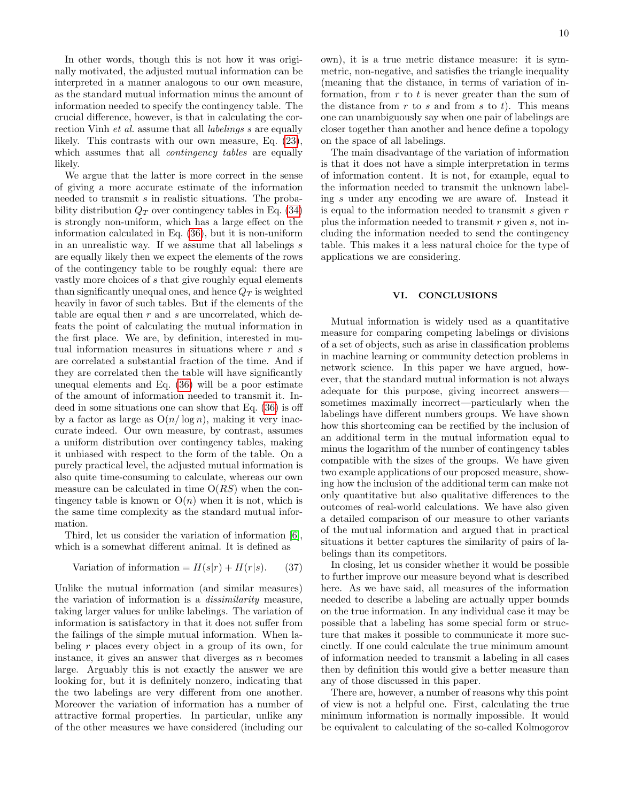In other words, though this is not how it was originally motivated, the adjusted mutual information can be interpreted in a manner analogous to our own measure, as the standard mutual information minus the amount of information needed to specify the contingency table. The crucial difference, however, is that in calculating the correction Vinh *et al.* assume that all *labelings s* are equally likely. This contrasts with our own measure, Eq. [\(23\)](#page-5-0), which assumes that all *contingency tables* are equally likely.

We argue that the latter is more correct in the sense of giving a more accurate estimate of the information needed to transmit s in realistic situations. The probability distribution  $Q_T$  over contingency tables in Eq. [\(34\)](#page-8-1) is strongly non-uniform, which has a large effect on the information calculated in Eq. [\(36\)](#page-8-2), but it is non-uniform in an unrealistic way. If we assume that all labelings s are equally likely then we expect the elements of the rows of the contingency table to be roughly equal: there are vastly more choices of s that give roughly equal elements than significantly unequal ones, and hence  $Q_T$  is weighted heavily in favor of such tables. But if the elements of the table are equal then  $r$  and  $s$  are uncorrelated, which defeats the point of calculating the mutual information in the first place. We are, by definition, interested in mutual information measures in situations where  $r$  and  $s$ are correlated a substantial fraction of the time. And if they are correlated then the table will have significantly unequal elements and Eq. [\(36\)](#page-8-2) will be a poor estimate of the amount of information needed to transmit it. Indeed in some situations one can show that Eq. [\(36\)](#page-8-2) is off by a factor as large as  $O(n/\log n)$ , making it very inaccurate indeed. Our own measure, by contrast, assumes a uniform distribution over contingency tables, making it unbiased with respect to the form of the table. On a purely practical level, the adjusted mutual information is also quite time-consuming to calculate, whereas our own measure can be calculated in time  $O(RS)$  when the contingency table is known or  $O(n)$  when it is not, which is the same time complexity as the standard mutual information.

Third, let us consider the variation of information [\[6\]](#page-10-5), which is a somewhat different animal. It is defined as

Variation of information = 
$$
H(s|r) + H(r|s)
$$
. (37)

Unlike the mutual information (and similar measures) the variation of information is a dissimilarity measure, taking larger values for unlike labelings. The variation of information is satisfactory in that it does not suffer from the failings of the simple mutual information. When labeling r places every object in a group of its own, for instance, it gives an answer that diverges as  $n$  becomes large. Arguably this is not exactly the answer we are looking for, but it is definitely nonzero, indicating that the two labelings are very different from one another. Moreover the variation of information has a number of attractive formal properties. In particular, unlike any of the other measures we have considered (including our

own), it is a true metric distance measure: it is symmetric, non-negative, and satisfies the triangle inequality (meaning that the distance, in terms of variation of information, from  $r$  to  $t$  is never greater than the sum of the distance from  $r$  to  $s$  and from  $s$  to  $t$ ). This means one can unambiguously say when one pair of labelings are closer together than another and hence define a topology on the space of all labelings.

The main disadvantage of the variation of information is that it does not have a simple interpretation in terms of information content. It is not, for example, equal to the information needed to transmit the unknown labeling s under any encoding we are aware of. Instead it is equal to the information needed to transmit  $s$  given  $r$ plus the information needed to transmit  $r$  given  $s$ , not including the information needed to send the contingency table. This makes it a less natural choice for the type of applications we are considering.

### <span id="page-9-0"></span>VI. CONCLUSIONS

Mutual information is widely used as a quantitative measure for comparing competing labelings or divisions of a set of objects, such as arise in classification problems in machine learning or community detection problems in network science. In this paper we have argued, however, that the standard mutual information is not always adequate for this purpose, giving incorrect answers sometimes maximally incorrect—particularly when the labelings have different numbers groups. We have shown how this shortcoming can be rectified by the inclusion of an additional term in the mutual information equal to minus the logarithm of the number of contingency tables compatible with the sizes of the groups. We have given two example applications of our proposed measure, showing how the inclusion of the additional term can make not only quantitative but also qualitative differences to the outcomes of real-world calculations. We have also given a detailed comparison of our measure to other variants of the mutual information and argued that in practical situations it better captures the similarity of pairs of labelings than its competitors.

In closing, let us consider whether it would be possible to further improve our measure beyond what is described here. As we have said, all measures of the information needed to describe a labeling are actually upper bounds on the true information. In any individual case it may be possible that a labeling has some special form or structure that makes it possible to communicate it more succinctly. If one could calculate the true minimum amount of information needed to transmit a labeling in all cases then by definition this would give a better measure than any of those discussed in this paper.

There are, however, a number of reasons why this point of view is not a helpful one. First, calculating the true minimum information is normally impossible. It would be equivalent to calculating of the so-called Kolmogorov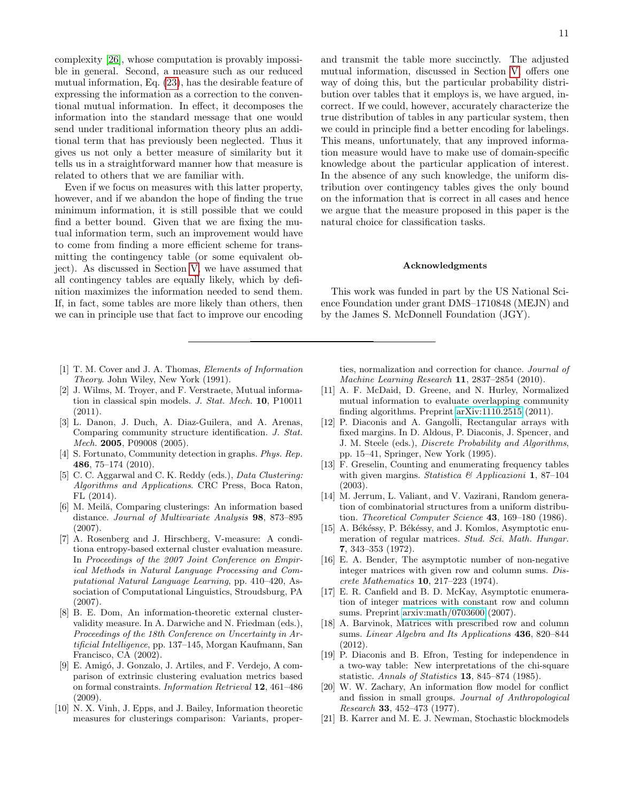complexity [\[26\]](#page-11-4), whose computation is provably impossible in general. Second, a measure such as our reduced mutual information, Eq. [\(23\)](#page-5-0), has the desirable feature of expressing the information as a correction to the conventional mutual information. In effect, it decomposes the information into the standard message that one would send under traditional information theory plus an additional term that has previously been neglected. Thus it gives us not only a better measure of similarity but it tells us in a straightforward manner how that measure is related to others that we are familiar with.

Even if we focus on measures with this latter property, however, and if we abandon the hope of finding the true minimum information, it is still possible that we could find a better bound. Given that we are fixing the mutual information term, such an improvement would have to come from finding a more efficient scheme for transmitting the contingency table (or some equivalent object). As discussed in Section [V,](#page-7-0) we have assumed that all contingency tables are equally likely, which by definition maximizes the information needed to send them. If, in fact, some tables are more likely than others, then we can in principle use that fact to improve our encoding

- <span id="page-10-0"></span>[1] T. M. Cover and J. A. Thomas, Elements of Information Theory. John Wiley, New York (1991).
- <span id="page-10-1"></span>[2] J. Wilms, M. Troyer, and F. Verstraete, Mutual information in classical spin models. J. Stat. Mech. 10, P10011 (2011).
- <span id="page-10-2"></span>[3] L. Danon, J. Duch, A. Diaz-Guilera, and A. Arenas, Comparing community structure identification. J. Stat. Mech. 2005, P09008 (2005).
- <span id="page-10-3"></span>[4] S. Fortunato, Community detection in graphs. Phys. Rep. 486, 75–174 (2010).
- <span id="page-10-4"></span>[5] C. C. Aggarwal and C. K. Reddy (eds.), *Data Clustering:* Algorithms and Applications. CRC Press, Boca Raton, FL (2014).
- <span id="page-10-5"></span>[6] M. Meilă, Comparing clusterings: An information based distance. Journal of Multivariate Analysis 98, 873–895 (2007).
- <span id="page-10-7"></span>[7] A. Rosenberg and J. Hirschberg, V-measure: A conditiona entropy-based external cluster evaluation measure. In Proceedings of the 2007 Joint Conference on Empirical Methods in Natural Language Processing and Computational Natural Language Learning, pp. 410–420, Association of Computational Linguistics, Stroudsburg, PA (2007).
- <span id="page-10-8"></span>[8] B. E. Dom, An information-theoretic external clustervalidity measure. In A. Darwiche and N. Friedman (eds.), Proceedings of the 18th Conference on Uncertainty in Artificial Intelligence, pp. 137–145, Morgan Kaufmann, San Francisco, CA (2002).
- <span id="page-10-6"></span>[9] E. Amigó, J. Gonzalo, J. Artiles, and F. Verdejo, A comparison of extrinsic clustering evaluation metrics based on formal constraints. Information Retrieval 12, 461–486 (2009).
- <span id="page-10-9"></span>[10] N. X. Vinh, J. Epps, and J. Bailey, Information theoretic measures for clusterings comparison: Variants, proper-

and transmit the table more succinctly. The adjusted mutual information, discussed in Section [V,](#page-7-0) offers one way of doing this, but the particular probability distribution over tables that it employs is, we have argued, incorrect. If we could, however, accurately characterize the true distribution of tables in any particular system, then we could in principle find a better encoding for labelings. This means, unfortunately, that any improved information measure would have to make use of domain-specific knowledge about the particular application of interest. In the absence of any such knowledge, the uniform distribution over contingency tables gives the only bound on the information that is correct in all cases and hence we argue that the measure proposed in this paper is the natural choice for classification tasks.

#### Acknowledgments

This work was funded in part by the US National Science Foundation under grant DMS–1710848 (MEJN) and by the James S. McDonnell Foundation (JGY).

ties, normalization and correction for chance. Journal of Machine Learning Research 11, 2837–2854 (2010).

- <span id="page-10-10"></span>[11] A. F. McDaid, D. Greene, and N. Hurley, Normalized mutual information to evaluate overlapping community finding algorithms. Preprint [arXiv:1110.2515](http://arxiv.org/abs/1110.2515) (2011).
- <span id="page-10-11"></span>[12] P. Diaconis and A. Gangolli, Rectangular arrays with fixed margins. In D. Aldous, P. Diaconis, J. Spencer, and J. M. Steele (eds.), Discrete Probability and Algorithms, pp. 15–41, Springer, New York (1995).
- <span id="page-10-12"></span>[13] F. Greselin, Counting and enumerating frequency tables with given margins. Statistica & Applicazioni 1, 87-104 (2003).
- <span id="page-10-13"></span>[14] M. Jerrum, L. Valiant, and V. Vazirani, Random generation of combinatorial structures from a uniform distribution. Theoretical Computer Science 43, 169-180 (1986).
- <span id="page-10-14"></span>[15] A. Békéssy, P. Békéssy, and J. Komlos, Asymptotic enumeration of regular matrices. Stud. Sci. Math. Hungar. 7, 343–353 (1972).
- [16] E. A. Bender, The asymptotic number of non-negative integer matrices with given row and column sums. Discrete Mathematics 10, 217–223 (1974).
- [17] E. R. Canfield and B. D. McKay, Asymptotic enumeration of integer matrices with constant row and column sums. Preprint [arxiv:math/0703600](http://arxiv.org/abs/math/0703600) (2007).
- <span id="page-10-15"></span>[18] A. Barvinok, Matrices with prescribed row and column sums. Linear Algebra and Its Applications 436, 820–844 (2012).
- <span id="page-10-16"></span>[19] P. Diaconis and B. Efron, Testing for independence in a two-way table: New interpretations of the chi-square statistic. Annals of Statistics 13, 845–874 (1985).
- <span id="page-10-17"></span>[20] W. W. Zachary, An information flow model for conflict and fission in small groups. Journal of Anthropological Research 33, 452–473 (1977).
- <span id="page-10-18"></span>[21] B. Karrer and M. E. J. Newman, Stochastic blockmodels